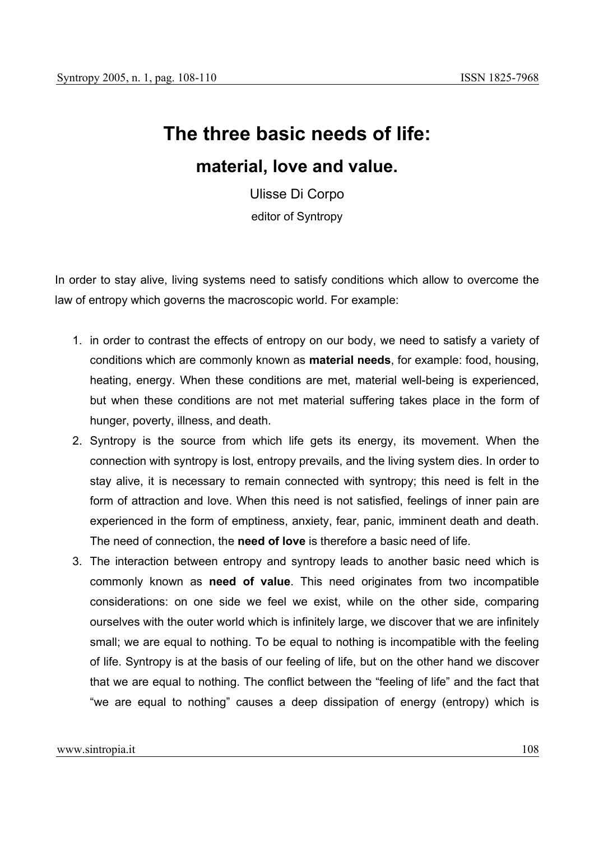## **The three basic needs of life:**

## **material, love and value.**

Ulisse Di Corpo editor of Syntropy

In order to stay alive, living systems need to satisfy conditions which allow to overcome the law of entropy which governs the macroscopic world. For example:

- 1. in order to contrast the effects of entropy on our body, we need to satisfy a variety of conditions which are commonly known as **material needs**, for example: food, housing, heating, energy. When these conditions are met, material well-being is experienced, but when these conditions are not met material suffering takes place in the form of hunger, poverty, illness, and death.
- 2. Syntropy is the source from which life gets its energy, its movement. When the connection with syntropy is lost, entropy prevails, and the living system dies. In order to stay alive, it is necessary to remain connected with syntropy; this need is felt in the form of attraction and love. When this need is not satisfied, feelings of inner pain are experienced in the form of emptiness, anxiety, fear, panic, imminent death and death. The need of connection, the **need of love** is therefore a basic need of life.
- 3. The interaction between entropy and syntropy leads to another basic need which is commonly known as **need of value**. This need originates from two incompatible considerations: on one side we feel we exist, while on the other side, comparing ourselves with the outer world which is infinitely large, we discover that we are infinitely small; we are equal to nothing. To be equal to nothing is incompatible with the feeling of life. Syntropy is at the basis of our feeling of life, but on the other hand we discover that we are equal to nothing. The conflict between the "feeling of life" and the fact that "we are equal to nothing" causes a deep dissipation of energy (entropy) which is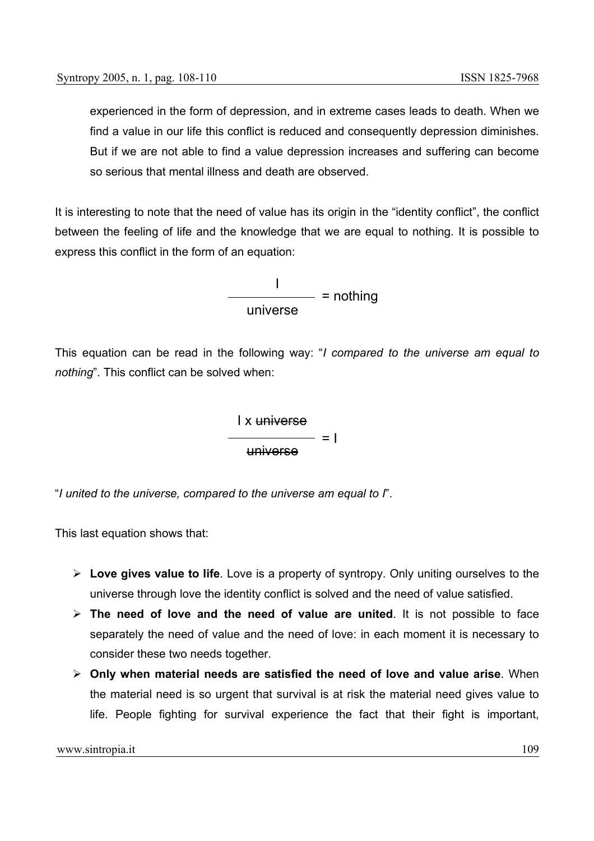experienced in the form of depression, and in extreme cases leads to death. When we find a value in our life this conflict is reduced and consequently depression diminishes. But if we are not able to find a value depression increases and suffering can become so serious that mental illness and death are observed.

It is interesting to note that the need of value has its origin in the "identity conflict", the conflict between the feeling of life and the knowledge that we are equal to nothing. It is possible to express this conflict in the form of an equation:

> I universe  $=$  nothing

This equation can be read in the following way: "*I compared to the universe am equal to nothing*". This conflict can be solved when:



"*I united to the universe, compared to the universe am equal to I*".

This last equation shows that:

- ¾ **Love gives value to life**. Love is a property of syntropy. Only uniting ourselves to the universe through love the identity conflict is solved and the need of value satisfied.
- ¾ **The need of love and the need of value are united**. It is not possible to face separately the need of value and the need of love: in each moment it is necessary to consider these two needs together.
- ¾ **Only when material needs are satisfied the need of love and value arise**. When the material need is so urgent that survival is at risk the material need gives value to life. People fighting for survival experience the fact that their fight is important,